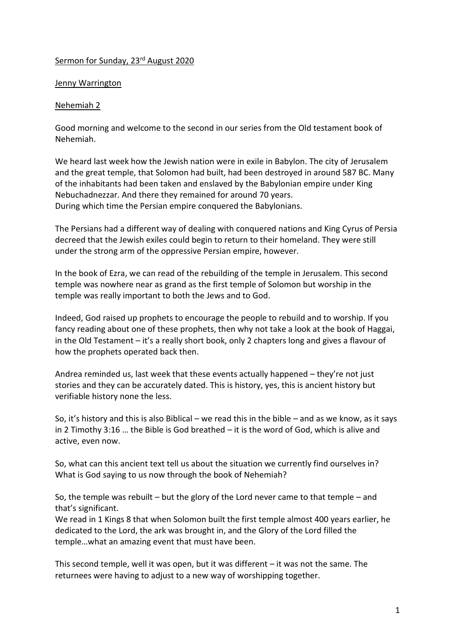## Sermon for Sunday, 23<sup>rd</sup> August 2020

## Jenny Warrington

## Nehemiah 2

Good morning and welcome to the second in our series from the Old testament book of Nehemiah.

We heard last week how the Jewish nation were in exile in Babylon. The city of Jerusalem and the great temple, that Solomon had built, had been destroyed in around 587 BC. Many of the inhabitants had been taken and enslaved by the Babylonian empire under King Nebuchadnezzar. And there they remained for around 70 years. During which time the Persian empire conquered the Babylonians.

The Persians had a different way of dealing with conquered nations and King Cyrus of Persia decreed that the Jewish exiles could begin to return to their homeland. They were still under the strong arm of the oppressive Persian empire, however.

In the book of Ezra, we can read of the rebuilding of the temple in Jerusalem. This second temple was nowhere near as grand as the first temple of Solomon but worship in the temple was really important to both the Jews and to God.

Indeed, God raised up prophets to encourage the people to rebuild and to worship. If you fancy reading about one of these prophets, then why not take a look at the book of Haggai, in the Old Testament – it's a really short book, only 2 chapters long and gives a flavour of how the prophets operated back then.

Andrea reminded us, last week that these events actually happened – they're not just stories and they can be accurately dated. This is history, yes, this is ancient history but verifiable history none the less.

So, it's history and this is also Biblical – we read this in the bible – and as we know, as it says in 2 Timothy 3:16 … the Bible is God breathed – it is the word of God, which is alive and active, even now.

So, what can this ancient text tell us about the situation we currently find ourselves in? What is God saying to us now through the book of Nehemiah?

So, the temple was rebuilt – but the glory of the Lord never came to that temple – and that's significant.

We read in 1 Kings 8 that when Solomon built the first temple almost 400 years earlier, he dedicated to the Lord, the ark was brought in, and the Glory of the Lord filled the temple…what an amazing event that must have been.

This second temple, well it was open, but it was different – it was not the same. The returnees were having to adjust to a new way of worshipping together.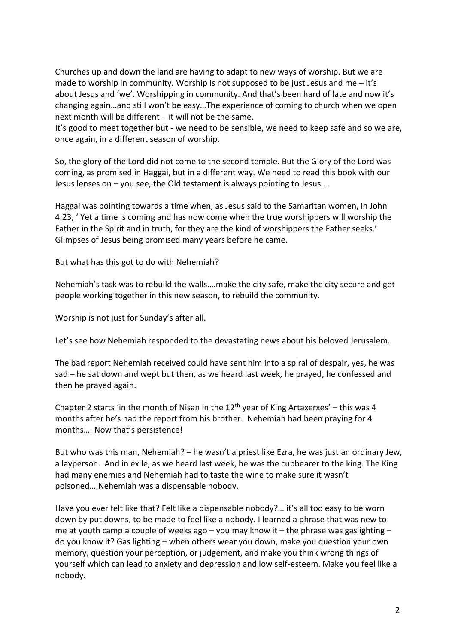Churches up and down the land are having to adapt to new ways of worship. But we are made to worship in community. Worship is not supposed to be just Jesus and me  $-i\dot{t}$ 's about Jesus and 'we'. Worshipping in community. And that's been hard of late and now it's changing again…and still won't be easy…The experience of coming to church when we open next month will be different – it will not be the same.

It's good to meet together but - we need to be sensible, we need to keep safe and so we are, once again, in a different season of worship.

So, the glory of the Lord did not come to the second temple. But the Glory of the Lord was coming, as promised in Haggai, but in a different way. We need to read this book with our Jesus lenses on – you see, the Old testament is always pointing to Jesus….

Haggai was pointing towards a time when, as Jesus said to the Samaritan women, in John 4:23, ' Yet a time is coming and has now come when the true worshippers will worship the Father in the Spirit and in truth, for they are the kind of worshippers the Father seeks.' Glimpses of Jesus being promised many years before he came.

But what has this got to do with Nehemiah?

Nehemiah's task was to rebuild the walls….make the city safe, make the city secure and get people working together in this new season, to rebuild the community.

Worship is not just for Sunday's after all.

Let's see how Nehemiah responded to the devastating news about his beloved Jerusalem.

The bad report Nehemiah received could have sent him into a spiral of despair, yes, he was sad – he sat down and wept but then, as we heard last week, he prayed, he confessed and then he prayed again.

Chapter 2 starts 'in the month of Nisan in the  $12<sup>th</sup>$  year of King Artaxerxes' – this was 4 months after he's had the report from his brother. Nehemiah had been praying for 4 months…. Now that's persistence!

But who was this man, Nehemiah? – he wasn't a priest like Ezra, he was just an ordinary Jew, a layperson. And in exile, as we heard last week, he was the cupbearer to the king. The King had many enemies and Nehemiah had to taste the wine to make sure it wasn't poisoned….Nehemiah was a dispensable nobody.

Have you ever felt like that? Felt like a dispensable nobody?… it's all too easy to be worn down by put downs, to be made to feel like a nobody. I learned a phrase that was new to me at youth camp a couple of weeks ago – you may know it – the phrase was gaslighting – do you know it? Gas lighting – when others wear you down, make you question your own memory, question your perception, or judgement, and make you think wrong things of yourself which can lead to anxiety and depression and low self-esteem. Make you feel like a nobody.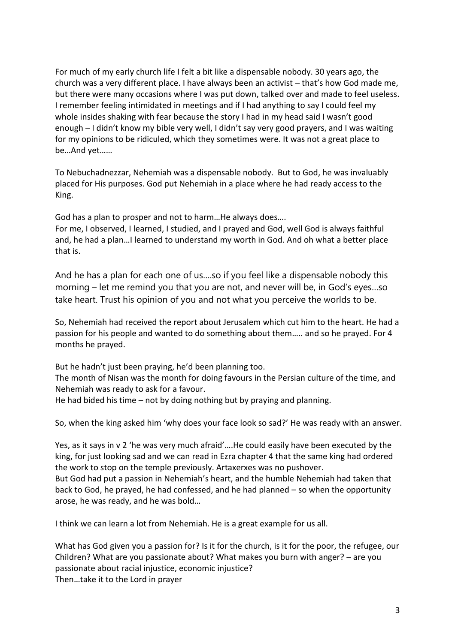For much of my early church life I felt a bit like a dispensable nobody. 30 years ago, the church was a very different place. I have always been an activist – that's how God made me, but there were many occasions where I was put down, talked over and made to feel useless. I remember feeling intimidated in meetings and if I had anything to say I could feel my whole insides shaking with fear because the story I had in my head said I wasn't good enough – I didn't know my bible very well, I didn't say very good prayers, and I was waiting for my opinions to be ridiculed, which they sometimes were. It was not a great place to be…And yet……

To Nebuchadnezzar, Nehemiah was a dispensable nobody. But to God, he was invaluably placed for His purposes. God put Nehemiah in a place where he had ready access to the King.

God has a plan to prosper and not to harm…He always does….

For me, I observed, I learned, I studied, and I prayed and God, well God is always faithful and, he had a plan…I learned to understand my worth in God. And oh what a better place that is.

And he has a plan for each one of us….so if you feel like a dispensable nobody this morning – let me remind you that you are not, and never will be, in God's eyes…so take heart. Trust his opinion of you and not what you perceive the worlds to be.

So, Nehemiah had received the report about Jerusalem which cut him to the heart. He had a passion for his people and wanted to do something about them….. and so he prayed. For 4 months he prayed.

But he hadn't just been praying, he'd been planning too.

The month of Nisan was the month for doing favours in the Persian culture of the time, and Nehemiah was ready to ask for a favour.

He had bided his time – not by doing nothing but by praying and planning.

So, when the king asked him 'why does your face look so sad?' He was ready with an answer.

Yes, as it says in v 2 'he was very much afraid'….He could easily have been executed by the king, for just looking sad and we can read in Ezra chapter 4 that the same king had ordered the work to stop on the temple previously. Artaxerxes was no pushover. But God had put a passion in Nehemiah's heart, and the humble Nehemiah had taken that

back to God, he prayed, he had confessed, and he had planned – so when the opportunity arose, he was ready, and he was bold…

I think we can learn a lot from Nehemiah. He is a great example for us all.

What has God given you a passion for? Is it for the church, is it for the poor, the refugee, our Children? What are you passionate about? What makes you burn with anger? – are you passionate about racial injustice, economic injustice? Then…take it to the Lord in prayer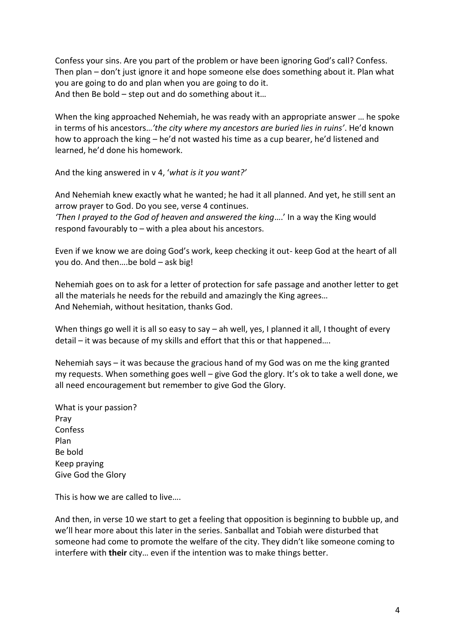Confess your sins. Are you part of the problem or have been ignoring God's call? Confess. Then plan – don't just ignore it and hope someone else does something about it. Plan what you are going to do and plan when you are going to do it. And then Be bold – step out and do something about it…

When the king approached Nehemiah, he was ready with an appropriate answer … he spoke in terms of his ancestors…*'the city where my ancestors are buried lies in ruins'*. He'd known how to approach the king – he'd not wasted his time as a cup bearer, he'd listened and learned, he'd done his homework.

And the king answered in v 4, '*what is it you want?'*

And Nehemiah knew exactly what he wanted; he had it all planned. And yet, he still sent an arrow prayer to God. Do you see, verse 4 continues.

*'Then I prayed to the God of heaven and answered the king*….' In a way the King would respond favourably to – with a plea about his ancestors.

Even if we know we are doing God's work, keep checking it out- keep God at the heart of all you do. And then….be bold – ask big!

Nehemiah goes on to ask for a letter of protection for safe passage and another letter to get all the materials he needs for the rebuild and amazingly the King agrees… And Nehemiah, without hesitation, thanks God.

When things go well it is all so easy to say – ah well, yes, I planned it all, I thought of every detail – it was because of my skills and effort that this or that happened….

Nehemiah says – it was because the gracious hand of my God was on me the king granted my requests. When something goes well – give God the glory. It's ok to take a well done, we all need encouragement but remember to give God the Glory.

What is your passion? Pray Confess Plan Be bold Keep praying Give God the Glory

This is how we are called to live….

And then, in verse 10 we start to get a feeling that opposition is beginning to bubble up, and we'll hear more about this later in the series. Sanballat and Tobiah were disturbed that someone had come to promote the welfare of the city. They didn't like someone coming to interfere with **their** city… even if the intention was to make things better.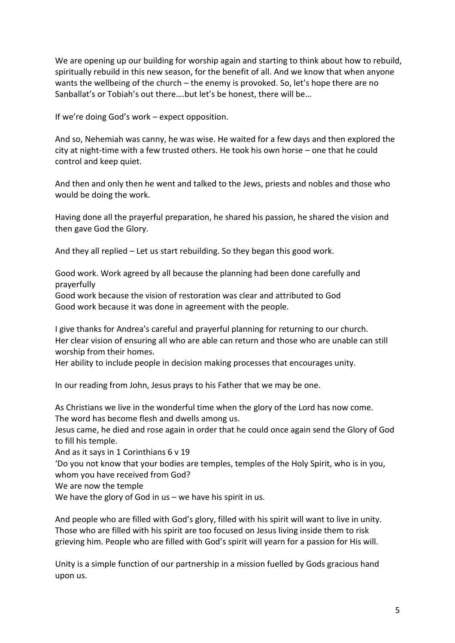We are opening up our building for worship again and starting to think about how to rebuild, spiritually rebuild in this new season, for the benefit of all. And we know that when anyone wants the wellbeing of the church – the enemy is provoked. So, let's hope there are no Sanballat's or Tobiah's out there….but let's be honest, there will be…

If we're doing God's work – expect opposition.

And so, Nehemiah was canny, he was wise. He waited for a few days and then explored the city at night-time with a few trusted others. He took his own horse – one that he could control and keep quiet.

And then and only then he went and talked to the Jews, priests and nobles and those who would be doing the work.

Having done all the prayerful preparation, he shared his passion, he shared the vision and then gave God the Glory.

And they all replied – Let us start rebuilding. So they began this good work.

Good work. Work agreed by all because the planning had been done carefully and prayerfully

Good work because the vision of restoration was clear and attributed to God Good work because it was done in agreement with the people.

I give thanks for Andrea's careful and prayerful planning for returning to our church. Her clear vision of ensuring all who are able can return and those who are unable can still worship from their homes.

Her ability to include people in decision making processes that encourages unity.

In our reading from John, Jesus prays to his Father that we may be one.

As Christians we live in the wonderful time when the glory of the Lord has now come. The word has become flesh and dwells among us.

Jesus came, he died and rose again in order that he could once again send the Glory of God to fill his temple.

And as it says in 1 Corinthians 6 v 19

'Do you not know that your bodies are temples, temples of the Holy Spirit, who is in you, whom you have received from God?

We are now the temple

We have the glory of God in us – we have his spirit in us.

And people who are filled with God's glory, filled with his spirit will want to live in unity. Those who are filled with his spirit are too focused on Jesus living inside them to risk grieving him. People who are filled with God's spirit will yearn for a passion for His will.

Unity is a simple function of our partnership in a mission fuelled by Gods gracious hand upon us.